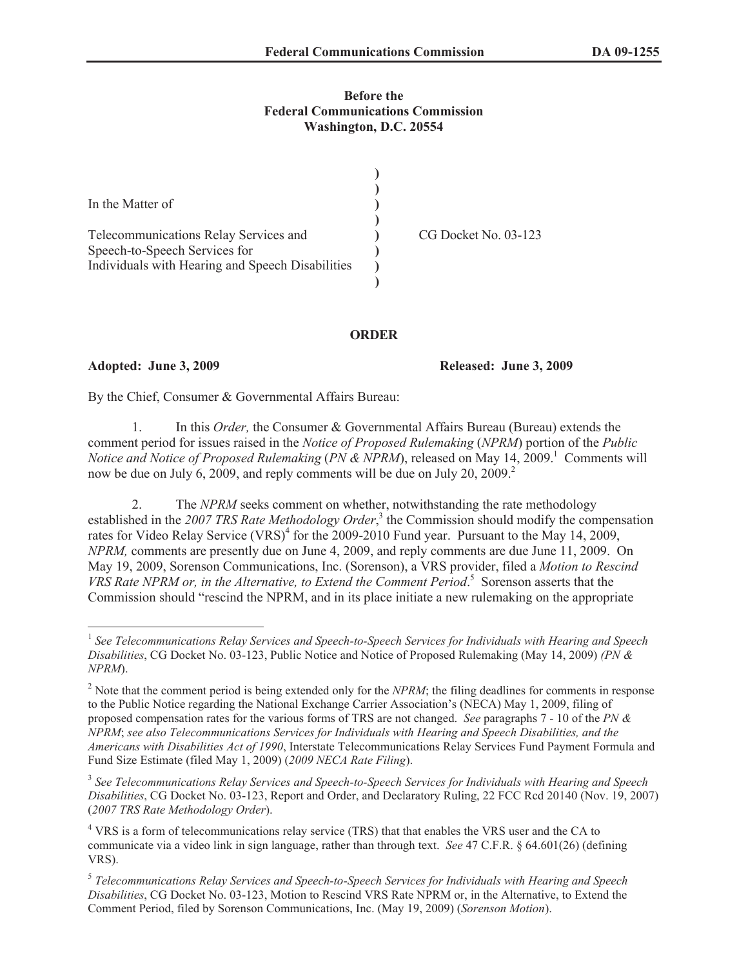## **Before the Federal Communications Commission Washington, D.C. 20554**

| In the Matter of                                                                                                           |                      |
|----------------------------------------------------------------------------------------------------------------------------|----------------------|
| Telecommunications Relay Services and<br>Speech-to-Speech Services for<br>Individuals with Hearing and Speech Disabilities | CG Docket No. 03-123 |

## **ORDER**

**Adopted: June 3, 2009 Released: June 3, 2009**

By the Chief, Consumer & Governmental Affairs Bureau:

1. In this *Order,* the Consumer & Governmental Affairs Bureau (Bureau) extends the comment period for issues raised in the *Notice of Proposed Rulemaking* (*NPRM*) portion of the *Public Notice and Notice of Proposed Rulemaking (PN & NPRM)*, released on May 14, 2009.<sup>1</sup> Comments will now be due on July 6, 2009, and reply comments will be due on July 20, 2009.<sup>2</sup>

2. The *NPRM* seeks comment on whether, notwithstanding the rate methodology established in the 2007 TRS Rate Methodology Order,<sup>3</sup> the Commission should modify the compensation rates for Video Relay Service  $(VRS)^4$  for the 2009-2010 Fund year. Pursuant to the May 14, 2009, *NPRM,* comments are presently due on June 4, 2009, and reply comments are due June 11, 2009. On May 19, 2009, Sorenson Communications, Inc. (Sorenson), a VRS provider, filed a *Motion to Rescind VRS Rate NPRM or, in the Alternative, to Extend the Comment Period*. 5 Sorenson asserts that the Commission should "rescind the NPRM, and in its place initiate a new rulemaking on the appropriate

3 *See Telecommunications Relay Services and Speech-to-Speech Services for Individuals with Hearing and Speech Disabilities*, CG Docket No. 03-123, Report and Order, and Declaratory Ruling, 22 FCC Rcd 20140 (Nov. 19, 2007) (*2007 TRS Rate Methodology Order*).

<sup>&</sup>lt;sup>1</sup> See Telecommunications Relay Services and Speech-to-Speech Services for Individuals with Hearing and Speech *Disabilities*, CG Docket No. 03-123, Public Notice and Notice of Proposed Rulemaking (May 14, 2009) *(PN & NPRM*).

<sup>&</sup>lt;sup>2</sup> Note that the comment period is being extended only for the *NPRM*; the filing deadlines for comments in response to the Public Notice regarding the National Exchange Carrier Association's (NECA) May 1, 2009, filing of proposed compensation rates for the various forms of TRS are not changed. *See* paragraphs 7 - 10 of the *PN & NPRM*; *see also Telecommunications Services for Individuals with Hearing and Speech Disabilities, and the Americans with Disabilities Act of 1990*, Interstate Telecommunications Relay Services Fund Payment Formula and Fund Size Estimate (filed May 1, 2009) (*2009 NECA Rate Filing*).

<sup>&</sup>lt;sup>4</sup> VRS is a form of telecommunications relay service (TRS) that that enables the VRS user and the CA to communicate via a video link in sign language, rather than through text. *See* 47 C.F.R. § 64.601(26) (defining VRS).

<sup>5</sup> *Telecommunications Relay Services and Speech-to-Speech Services for Individuals with Hearing and Speech Disabilities*, CG Docket No. 03-123, Motion to Rescind VRS Rate NPRM or, in the Alternative, to Extend the Comment Period, filed by Sorenson Communications, Inc. (May 19, 2009) (*Sorenson Motion*).